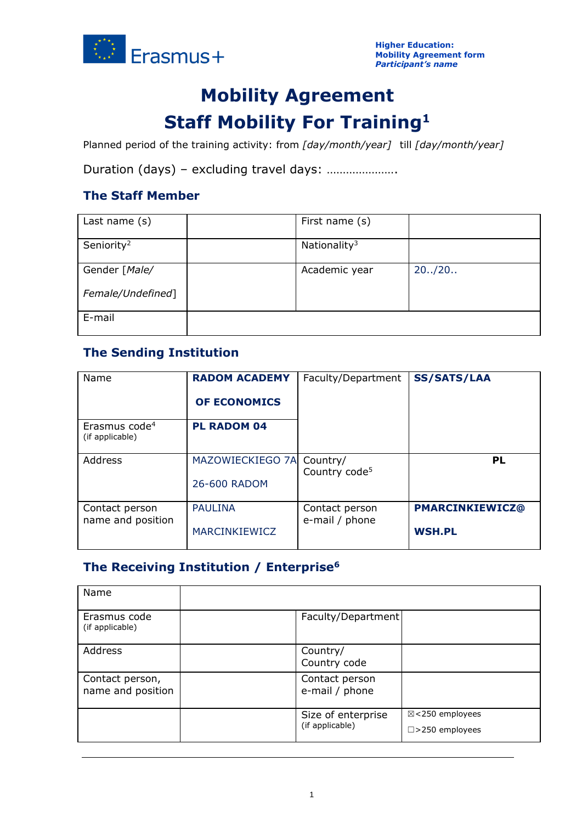

# **Mobility Agreement Staff Mobility For Training<sup>1</sup>**

Planned period of the training activity: from *[day/month/year]* till *[day/month/year]*

Duration (days) – excluding travel days: ………………….

## **The Staff Member**

| Last name (s)          | First name (s)           |         |
|------------------------|--------------------------|---------|
| Seniority <sup>2</sup> | Nationality <sup>3</sup> |         |
| Gender [Male/          | Academic year            | 20.720. |
| Female/Undefined]      |                          |         |
| E-mail                 |                          |         |

## **The Sending Institution**

| Name                                         | <b>RADOM ACADEMY</b><br><b>OF ECONOMICS</b> | Faculty/Department                    | <b>SS/SATS/LAA</b>                      |
|----------------------------------------------|---------------------------------------------|---------------------------------------|-----------------------------------------|
| Erasmus code <sup>4</sup><br>(if applicable) | <b>PL RADOM 04</b>                          |                                       |                                         |
| Address                                      | MAZOWIECKIEGO 7A<br>26-600 RADOM            | Country/<br>Country code <sup>5</sup> | PL                                      |
| Contact person<br>name and position          | <b>PAULINA</b><br><b>MARCINKIEWICZ</b>      | Contact person<br>e-mail / phone      | <b>PMARCINKIEWICZ@</b><br><b>WSH.PL</b> |

# **The Receiving Institution / Enterprise<sup>6</sup>**

| Name                                 |                                       |                                              |
|--------------------------------------|---------------------------------------|----------------------------------------------|
| Erasmus code<br>(if applicable)      | Faculty/Department                    |                                              |
| Address                              | Country/<br>Country code              |                                              |
| Contact person,<br>name and position | Contact person<br>e-mail / phone      |                                              |
|                                      | Size of enterprise<br>(if applicable) | ⊠<250 employees<br>$\square$ > 250 employees |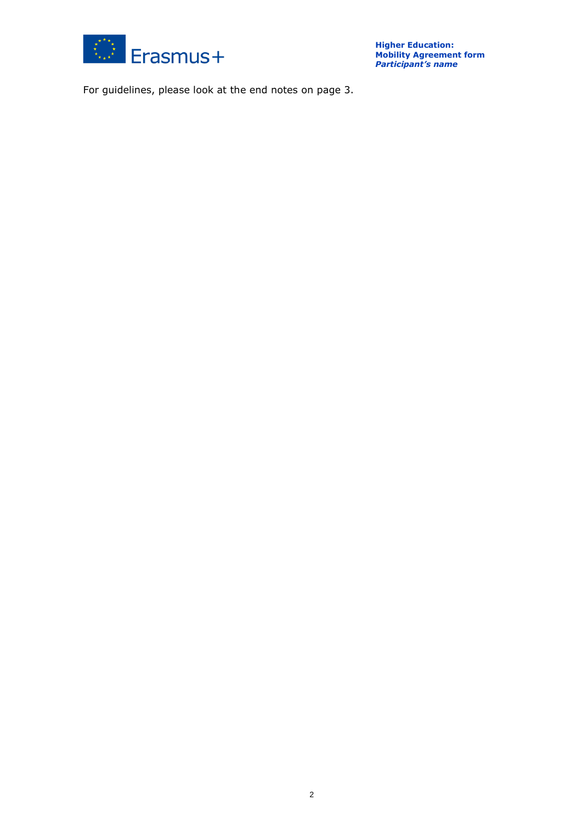

For guidelines, please look at the end notes on page 3.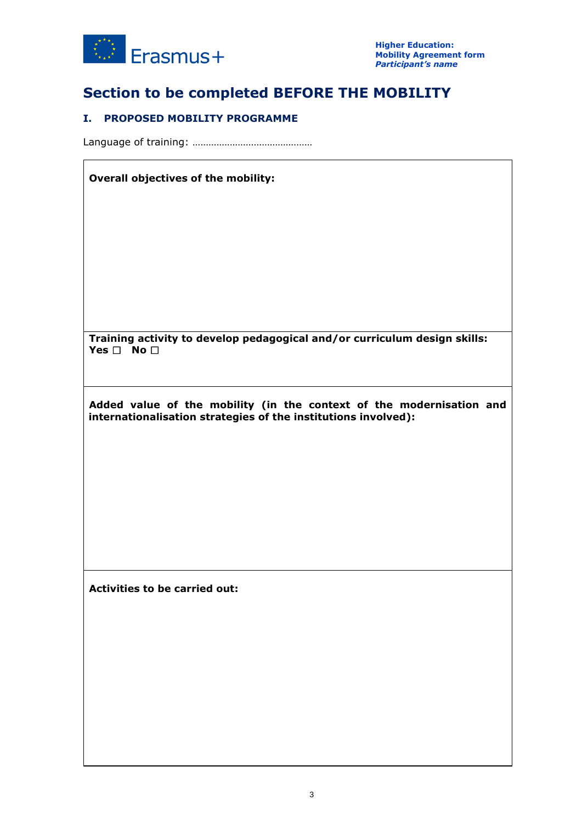

# **Section to be completed BEFORE THE MOBILITY**

## **I. PROPOSED MOBILITY PROGRAMME**

Language of training: ………………………………………

### **Overall objectives of the mobility:**

**Training activity to develop pedagogical and/or curriculum design skills: Yes** ☐ **No** ☐

**Added value of the mobility (in the context of the modernisation and internationalisation strategies of the institutions involved):**

**Activities to be carried out:**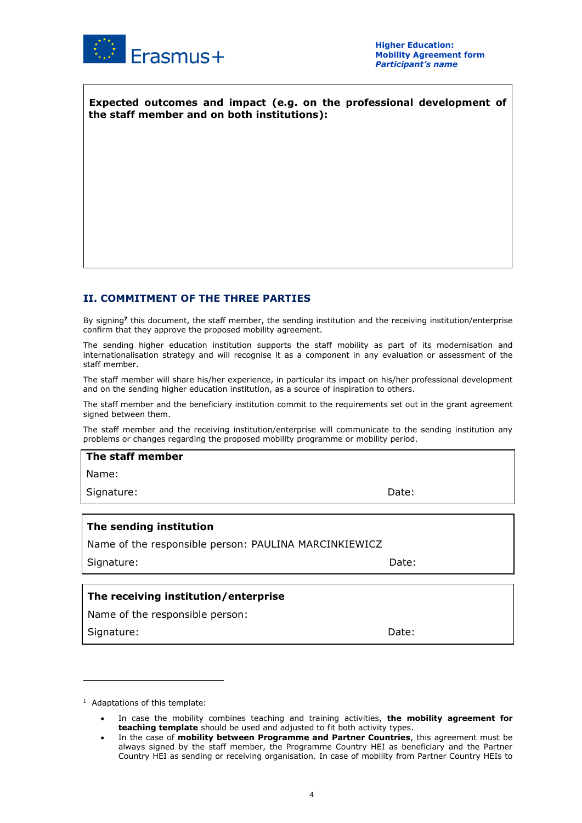

**Expected outcomes and impact (e.g. on the professional development of the staff member and on both institutions):**

## **II. COMMITMENT OF THE THREE PARTIES**

By signing**<sup>7</sup>** this document, the staff member, the sending institution and the receiving institution/enterprise confirm that they approve the proposed mobility agreement.

The sending higher education institution supports the staff mobility as part of its modernisation and internationalisation strategy and will recognise it as a component in any evaluation or assessment of the staff member.

The staff member will share his/her experience, in particular its impact on his/her professional development and on the sending higher education institution, as a source of inspiration to others.

The staff member and the beneficiary institution commit to the requirements set out in the grant agreement signed between them.

The staff member and the receiving institution/enterprise will communicate to the sending institution any problems or changes regarding the proposed mobility programme or mobility period.

**The staff member**

Name:

Signature: Date: Date: Date: Date: Date: Date: Date: Date: Date: Date: Date: Date: Date: Date: Date: Date: Date: Date: Date: Date: Date: Date: Date: Date: Date: Date: Date: Date: Date: Date: Date: Date: Date: Date: Date: D

### **The sending institution**

Name of the responsible person: PAULINA MARCINKIEWICZ

Signature: Date: Date: Date: Date: Date: Date: Date: Date: Date: Date: Date: Date: Date: Date: Date: Date: Date: Date: Date: Date: Date: Date: Date: Date: Date: Date: Date: Date: Date: Date: Date: Date: Date: Date: Date: D

### **The receiving institution/enterprise**

Name of the responsible person:

Signature: Date: Date: Date: Date: Date: Date: Date: Date: Date: Date: Date: Date: Date: Date: Date: Date: Date: Date:  $\sim$  Date:  $\sim$  0.075  $\sim$  0.075  $\sim$  0.075  $\sim$  0.075  $\sim$  0.075  $\sim$  0.075  $\sim$  0.075  $\sim$  0.075  $\sim$ 

 $1$  Adaptations of this template:

<sup>•</sup> In case the mobility combines teaching and training activities, **the mobility agreement for teaching template** should be used and adjusted to fit both activity types.

<sup>•</sup> In the case of **mobility between Programme and Partner Countries**, this agreement must be always signed by the staff member, the Programme Country HEI as beneficiary and the Partner Country HEI as sending or receiving organisation. In case of mobility from Partner Country HEIs to